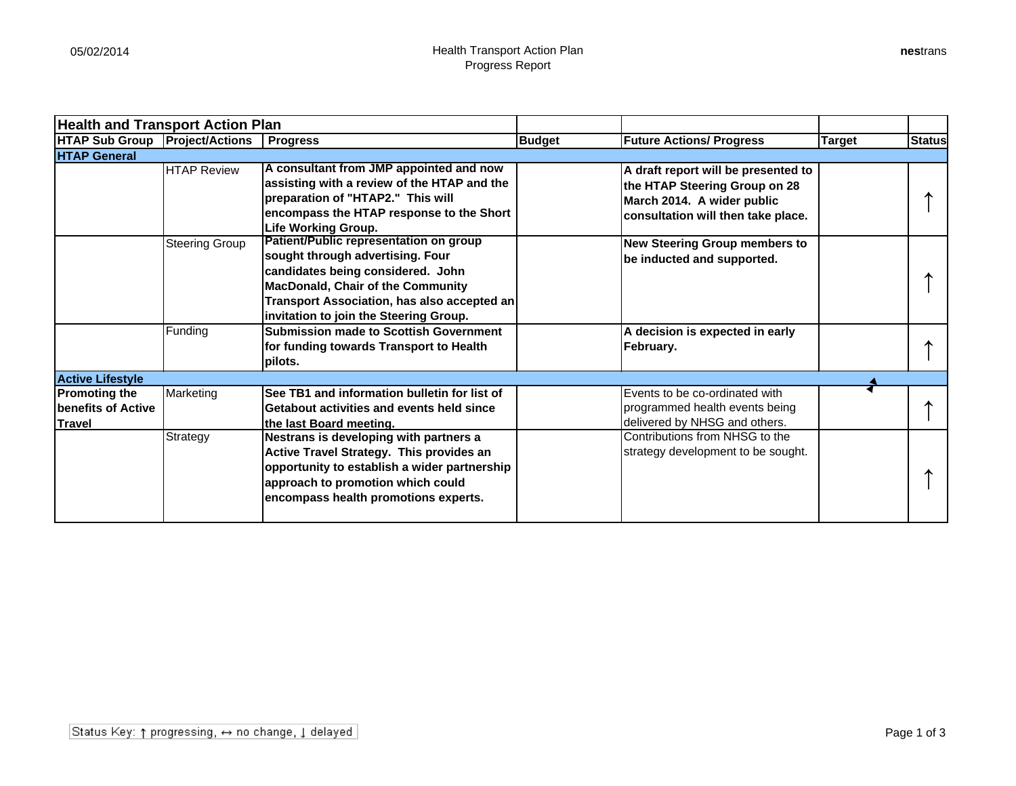| <b>Health and Transport Action Plan</b>                             |                       |                                                                                                                                                                                                                                                      |               |                                                                                                                                          |        |               |
|---------------------------------------------------------------------|-----------------------|------------------------------------------------------------------------------------------------------------------------------------------------------------------------------------------------------------------------------------------------------|---------------|------------------------------------------------------------------------------------------------------------------------------------------|--------|---------------|
| <b>HTAP Sub Group Project/Actions</b>                               |                       | <b>Progress</b>                                                                                                                                                                                                                                      | <b>Budget</b> | <b>Future Actions/ Progress</b>                                                                                                          | Target | <b>Status</b> |
| <b>HTAP General</b>                                                 |                       |                                                                                                                                                                                                                                                      |               |                                                                                                                                          |        |               |
|                                                                     | <b>HTAP Review</b>    | A consultant from JMP appointed and now<br>assisting with a review of the HTAP and the<br>preparation of "HTAP2." This will<br>encompass the HTAP response to the Short<br><b>Life Working Group.</b>                                                |               | A draft report will be presented to<br>the HTAP Steering Group on 28<br>March 2014. A wider public<br>consultation will then take place. |        |               |
|                                                                     | <b>Steering Group</b> | Patient/Public representation on group<br>sought through advertising. Four<br>candidates being considered. John<br><b>MacDonald, Chair of the Community</b><br>Transport Association, has also accepted an<br>invitation to join the Steering Group. |               | <b>New Steering Group members to</b><br>be inducted and supported.                                                                       |        |               |
|                                                                     | Funding               | <b>Submission made to Scottish Government</b><br>for funding towards Transport to Health<br>pilots.                                                                                                                                                  |               | A decision is expected in early<br> February.                                                                                            |        |               |
| <b>Active Lifestyle</b>                                             |                       |                                                                                                                                                                                                                                                      |               |                                                                                                                                          |        |               |
| <b>Promoting the</b><br><b>Ibenefits of Active</b><br><b>Travel</b> | Marketing             | See TB1 and information bulletin for list of<br>Getabout activities and events held since<br>the last Board meeting.                                                                                                                                 |               | Events to be co-ordinated with<br>programmed health events being<br>delivered by NHSG and others.                                        |        |               |
|                                                                     | Strategy              | Nestrans is developing with partners a<br>Active Travel Strategy. This provides an<br>opportunity to establish a wider partnership<br>approach to promotion which could<br>encompass health promotions experts.                                      |               | Contributions from NHSG to the<br>strategy development to be sought.                                                                     |        |               |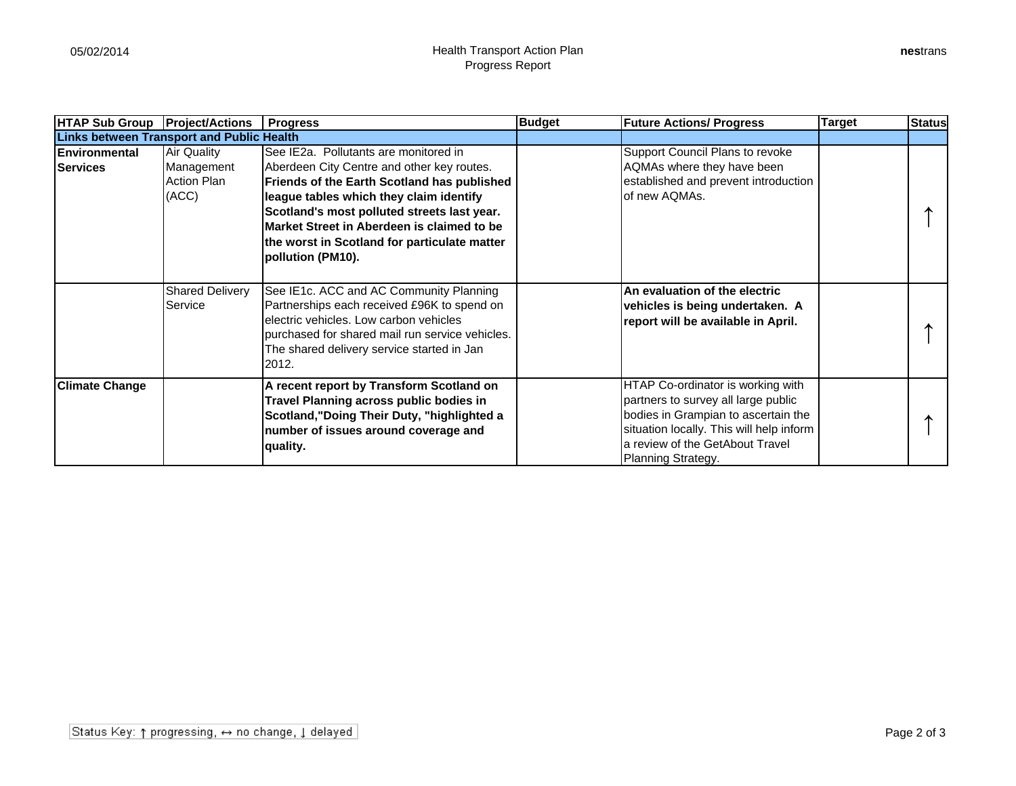| <b>HTAP Sub Group</b>                            | <b>Project/Actions</b>                                   | <b>Progress</b>                                                                                                                                                                                                                                                                                                                                 | <b>Budget</b> | <b>Future Actions/ Progress</b>                                                                                                                                                                                      | Target | <b>Status</b> |
|--------------------------------------------------|----------------------------------------------------------|-------------------------------------------------------------------------------------------------------------------------------------------------------------------------------------------------------------------------------------------------------------------------------------------------------------------------------------------------|---------------|----------------------------------------------------------------------------------------------------------------------------------------------------------------------------------------------------------------------|--------|---------------|
| <b>Links between Transport and Public Health</b> |                                                          |                                                                                                                                                                                                                                                                                                                                                 |               |                                                                                                                                                                                                                      |        |               |
| Environmental<br><b>Services</b>                 | Air Quality<br>Management<br><b>Action Plan</b><br>(ACC) | See IE2a. Pollutants are monitored in<br>Aberdeen City Centre and other key routes.<br>Friends of the Earth Scotland has published<br>league tables which they claim identify<br>Scotland's most polluted streets last year.<br>Market Street in Aberdeen is claimed to be<br>the worst in Scotland for particulate matter<br>pollution (PM10). |               | Support Council Plans to revoke<br>AQMAs where they have been<br>established and prevent introduction<br>of new AQMAs.                                                                                               |        |               |
|                                                  | <b>Shared Delivery</b><br>Service                        | See IE1c. ACC and AC Community Planning<br>Partnerships each received £96K to spend on<br>electric vehicles. Low carbon vehicles<br>purchased for shared mail run service vehicles.<br>The shared delivery service started in Jan<br>2012.                                                                                                      |               | An evaluation of the electric<br>vehicles is being undertaken. A<br>report will be available in April.                                                                                                               |        |               |
| <b>Climate Change</b>                            |                                                          | A recent report by Transform Scotland on<br>Travel Planning across public bodies in<br>Scotland,"Doing Their Duty, "highlighted a<br>number of issues around coverage and<br>quality.                                                                                                                                                           |               | HTAP Co-ordinator is working with<br>partners to survey all large public<br>bodies in Grampian to ascertain the<br>situation locally. This will help inform<br>a review of the GetAbout Travel<br>Planning Strategy. |        |               |